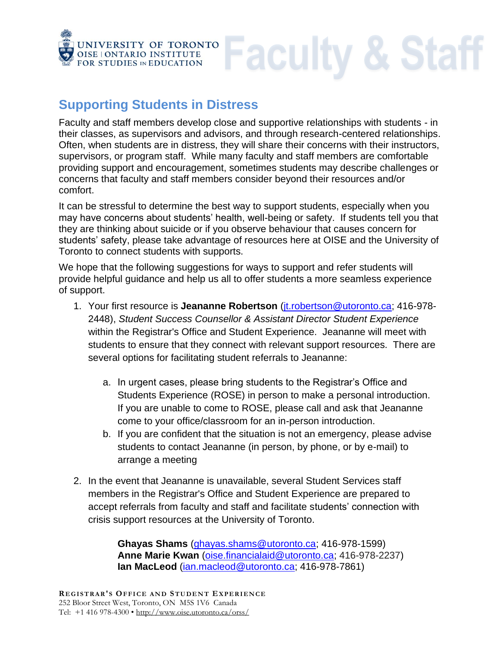

## **Supporting Students in Distress**

Faculty and staff members develop close and supportive relationships with students - in their classes, as supervisors and advisors, and through research-centered relationships. Often, when students are in distress, they will share their concerns with their instructors, supervisors, or program staff. While many faculty and staff members are comfortable providing support and encouragement, sometimes students may describe challenges or concerns that faculty and staff members consider beyond their resources and/or comfort.

**Faculty & Staff** 

It can be stressful to determine the best way to support students, especially when you may have concerns about students' health, well-being or safety. If students tell you that they are thinking about suicide or if you observe behaviour that causes concern for students' safety, please take advantage of resources here at OISE and the University of Toronto to connect students with supports.

We hope that the following suggestions for ways to support and refer students will provide helpful guidance and help us all to offer students a more seamless experience of support.

- 1. Your first resource is **Jeananne Robertson** [\(jt.robertson@utoronto.ca;](mailto:jt.robertson@utoronto.ca) 416-978- 2448), *Student Success Counsellor & Assistant Director Student Experience* within the Registrar's Office and Student Experience. Jeananne will meet with students to ensure that they connect with relevant support resources. There are several options for facilitating student referrals to Jeananne:
	- a. In urgent cases, please bring students to the Registrar's Office and Students Experience (ROSE) in person to make a personal introduction. If you are unable to come to ROSE, please call and ask that Jeananne come to your office/classroom for an in-person introduction.
	- b. If you are confident that the situation is not an emergency, please advise students to contact Jeananne (in person, by phone, or by e-mail) to arrange a meeting
- 2. In the event that Jeananne is unavailable, several Student Services staff members in the Registrar's Office and Student Experience are prepared to accept referrals from faculty and staff and facilitate students' connection with crisis support resources at the University of Toronto.

**Ghayas Shams** [\(ghayas.shams@utoronto.ca;](mailto:ghayas.shams@utoronto.ca) 416-978-1599) **Anne Marie Kwan** [\(oise.financialaid@utoronto.ca;](mailto:oise.financialaid@utoronto.ca) 416-978-2237) **Ian MacLeod** [\(ian.macleod@utoronto.ca;](mailto:ian.macleod@utoronto.ca) 416-978-7861)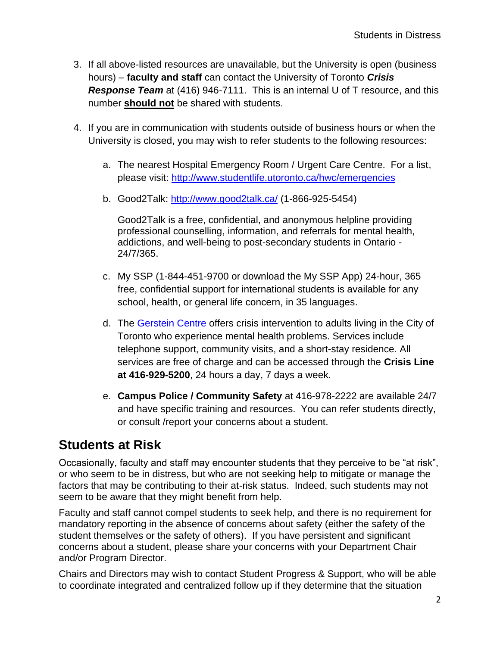- 3. If all above-listed resources are unavailable, but the University is open (business hours) – **faculty and staff** can contact the University of Toronto *Crisis Response Team* at (416) 946-7111. This is an internal U of T resource, and this number **should not** be shared with students.
- 4. If you are in communication with students outside of business hours or when the University is closed, you may wish to refer students to the following resources:
	- a. The nearest Hospital Emergency Room / Urgent Care Centre. For a list, please visit:<http://www.studentlife.utoronto.ca/hwc/emergencies>
	- b. Good2Talk:<http://www.good2talk.ca/> (1-866-925-5454)

Good2Talk is a free, confidential, and anonymous helpline providing professional counselling, information, and referrals for mental health, addictions, and well-being to post-secondary students in Ontario - 24/7/365.

- c. My SSP (1-844-451-9700 or download the My SSP App) 24-hour, 365 free, confidential support for international students is available for any school, health, or general life concern, in 35 languages.
- d. The [Gerstein Centre](http://www.gersteincentre.org/) offers crisis intervention to adults living in the City of Toronto who experience mental health problems. Services include telephone support, community visits, and a short-stay residence. All services are free of charge and can be accessed through the **Crisis Line at 416-929-5200**, 24 hours a day, 7 days a week.
- e. **Campus Police / Community Safety** at 416-978-2222 are available 24/7 and have specific training and resources. You can refer students directly, or consult /report your concerns about a student.

## **Students at Risk**

Occasionally, faculty and staff may encounter students that they perceive to be "at risk", or who seem to be in distress, but who are not seeking help to mitigate or manage the factors that may be contributing to their at-risk status. Indeed, such students may not seem to be aware that they might benefit from help.

Faculty and staff cannot compel students to seek help, and there is no requirement for mandatory reporting in the absence of concerns about safety (either the safety of the student themselves or the safety of others). If you have persistent and significant concerns about a student, please share your concerns with your Department Chair and/or Program Director.

Chairs and Directors may wish to contact Student Progress & Support, who will be able to coordinate integrated and centralized follow up if they determine that the situation